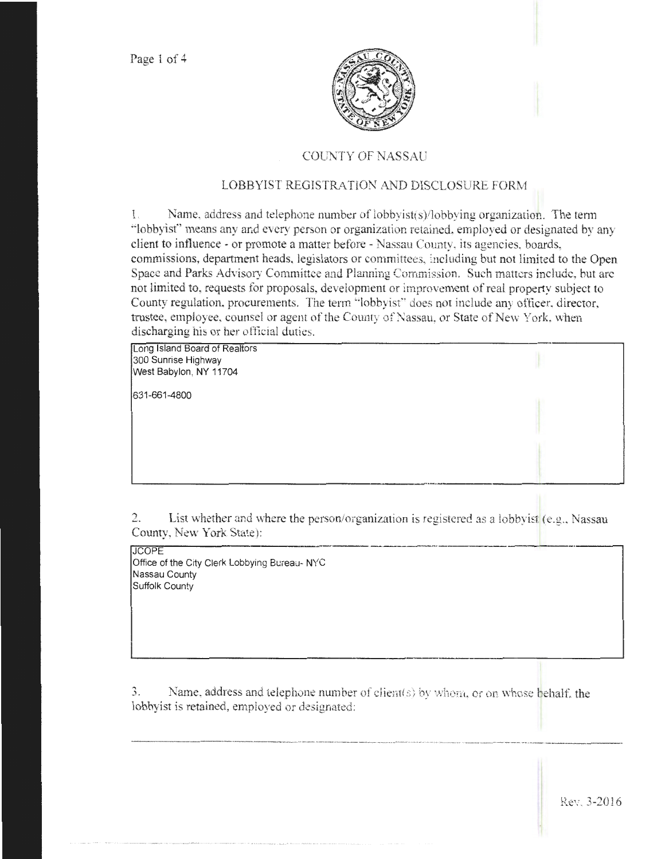

## COUNTY OF NASSAU

## LOBBYIST REGISTRATION AND DISCLOSURE FORM

1. Name, address and telephone number of lobbyist(s)llobbying organization. The term "'lobbyist" means any and every person or organization retained, employed or designated by any client to influence - or promote a matter before - Nassau County, its agencies, boards, commissions, department heads, legislators or committees, including but not limited to the Open Space and Parks Advisory Committee and Planning Commission. Such matters include, but arc not limited to, requests for proposals, development or improvement of real property subject to County regulation, procurements. The term "lobbyist" does not include any officer, director, trustee, employee, counsel or agent of the County of Nassau, or State of New York, when discharging his or her official duties.

Long Island Board of Realtors 300 Sunrise Highway West Babylon, NY 11704

631-661-4800

2. List whether and where the person/organization is registered as a lobbyist  $(e.g., Nassau)$ County, New York State): ---------- ----

**JCOPE** Office of the City Clerk Lobbying Bureau- NYC Nassau County Suffolk County

3. Name, address and telephone number of client(s) by whom, or on whose behalf, the lobbyist is retained, empioyed or designated:

 $L_{\rm{eff}}$  , and the contribution of the contribution of the contribution of the contribution of the contribution of the contribution of the contribution of the contribution of the contribution of the contribution of the c

·-·-·------------·--------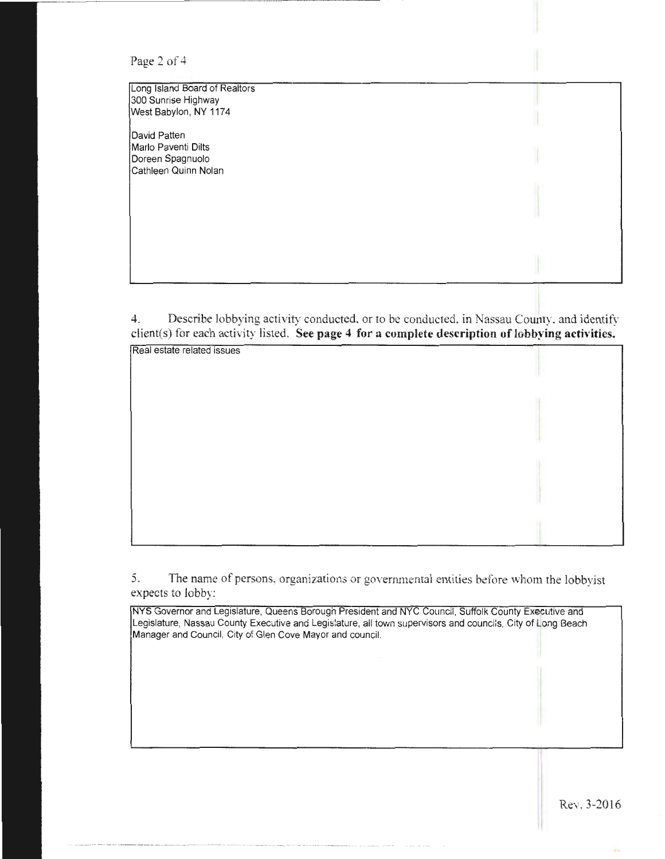| Page 2 of 4 |  |  |  |
|-------------|--|--|--|
|-------------|--|--|--|

Long Island Board of Realtors 300 Sunrise Highway West Babylon, NY 1174 David Patten Marlo Paventi Dilts Doreen Spagnuolo Cathleen Quinn Nolan

4. Describe lobbying activity conducted, or to be conducted, in Nassau County. and identify client(s) for each activity listed. **See page 4 for a complete description of lobbying activities.** 

| Real estate related issues |  |
|----------------------------|--|
|                            |  |
|                            |  |
|                            |  |
|                            |  |
|                            |  |
|                            |  |
|                            |  |
|                            |  |
|                            |  |
|                            |  |
|                            |  |
|                            |  |

5. The name of persons, organizations or goverrunental entities before whom the lobbyist expects to lobby:

NYS Governor and Legislature, Queens Borough President and NYC Council, Suffolk County Executive and Legislature, Nassau County Executive and Legislature, all town supervisors and councils, City of Long Beach Manager and Council, City of Glen Cove Mayor and council.

Rev. J-2016

'n.

I I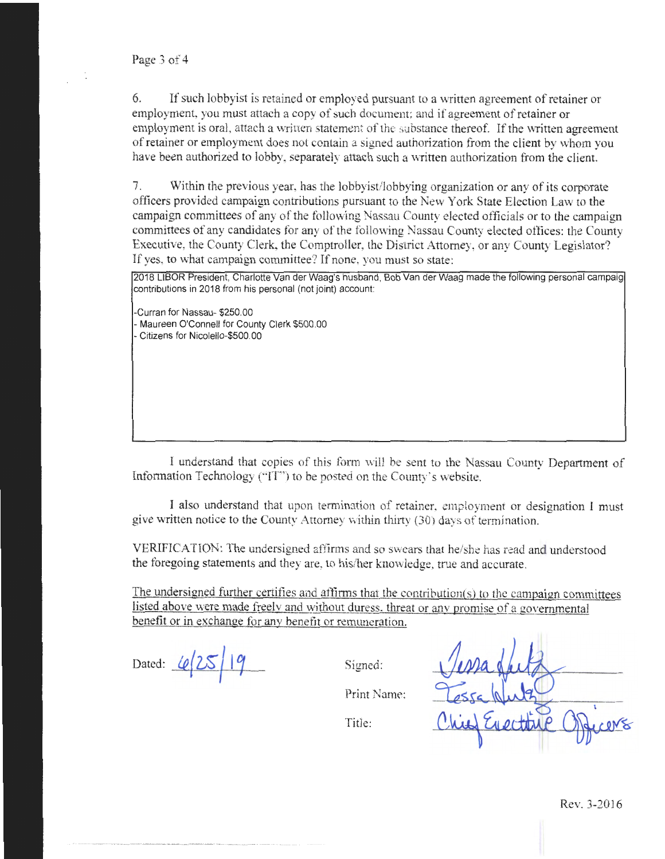6. If such lobbyist is retained or employed pursuant to a written agreement of retainer or employment, you must attach a copy of such document; and if agreement of retainer or employment is oral, attach a written statement of the substance thereof. If the written agreement of retainer or employment does not contain a signed authorization from the client by whom you have been authorized to lobby, separately attach such a written authorization from the client.

7. Within the previous year, has the lobbyist/lobbying organization or any of its corporate officers provided campaign contributions pursuant to the New York State Election Law to the campaign committees of any of the following Nassau County elected officials or to the campaign committees of any candidates for any of the following Nassau County elected offices: the County Executive, the County Clerk, the Comptroller, the District Attorney, or any County Legislator? If yes, to what campaign committee? If none, you must so state:

2018 LIBOR President, Charlotte Vander Waag's husband, Bob Vander Waag made the following personal campaig contributions in 2018 from his personal (not joint) account

-Curran for Nassau- \$250.00 - Maureen O'Connell for County Clerk \$500.00 -Citizens for Nicolello-\$500.00

I understand that copies of this form \vill be sent to the Nassau County Department of lnfonnation Technology ("IT') to be posted on the Conmy's website.

I also understand that upon termination of retainer, employment or designation I must give written notice to the County Attorney within thirty (30) days of termination.

VERIFICATION: The undersigned affirms and so swears that he/she has read and understood the foregoing statements and they are, to his/her knowledge, true and accurate.

The undersigned further certifies and affirms that the contribution(s) to the campaign committees listed above were made freely and without duress. threat or anv promise of a governmental benefit or in exchange for any benefit or remuneration.

Dated:  $6/25/19$ 

Signed:

Print Name:

Title: